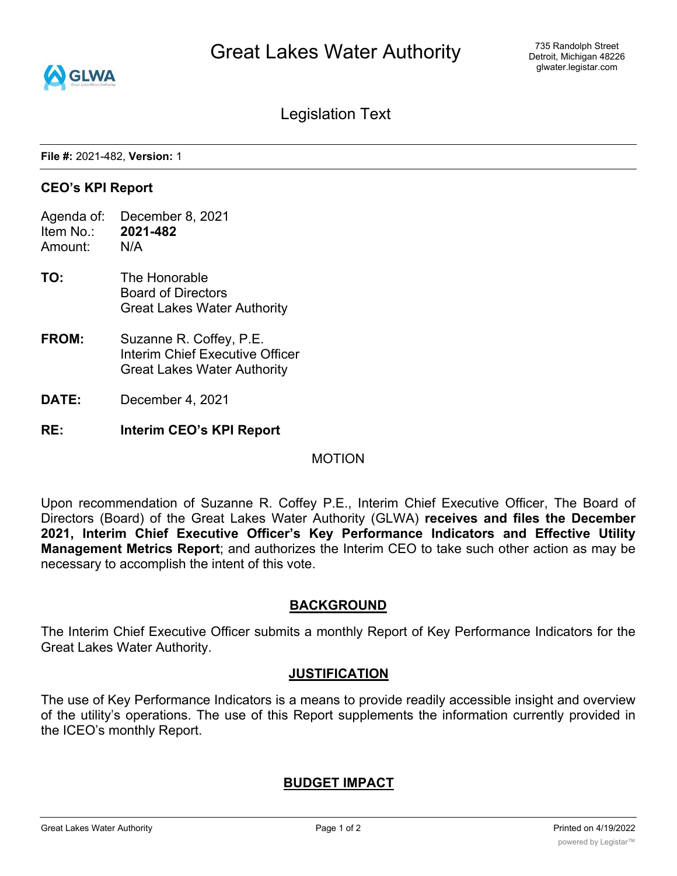

Legislation Text

**File #:** 2021-482, **Version:** 1

### **CEO's KPI Report**

- Agenda of: December 8, 2021 Item No.: **2021-482**
- Amount: N/A
- **TO:** The Honorable Board of Directors Great Lakes Water Authority
- **FROM:** Suzanne R. Coffey, P.E. Interim Chief Executive Officer Great Lakes Water Authority
- **DATE:** December 4, 2021
- **RE: Interim CEO's KPI Report**

#### MOTION

Upon recommendation of Suzanne R. Coffey P.E., Interim Chief Executive Officer, The Board of Directors (Board) of the Great Lakes Water Authority (GLWA) **receives and files the December 2021, Interim Chief Executive Officer's Key Performance Indicators and Effective Utility Management Metrics Report**; and authorizes the Interim CEO to take such other action as may be necessary to accomplish the intent of this vote.

## **BACKGROUND**

The Interim Chief Executive Officer submits a monthly Report of Key Performance Indicators for the Great Lakes Water Authority.

#### **JUSTIFICATION**

The use of Key Performance Indicators is a means to provide readily accessible insight and overview of the utility's operations. The use of this Report supplements the information currently provided in the ICEO's monthly Report.

## **BUDGET IMPACT**